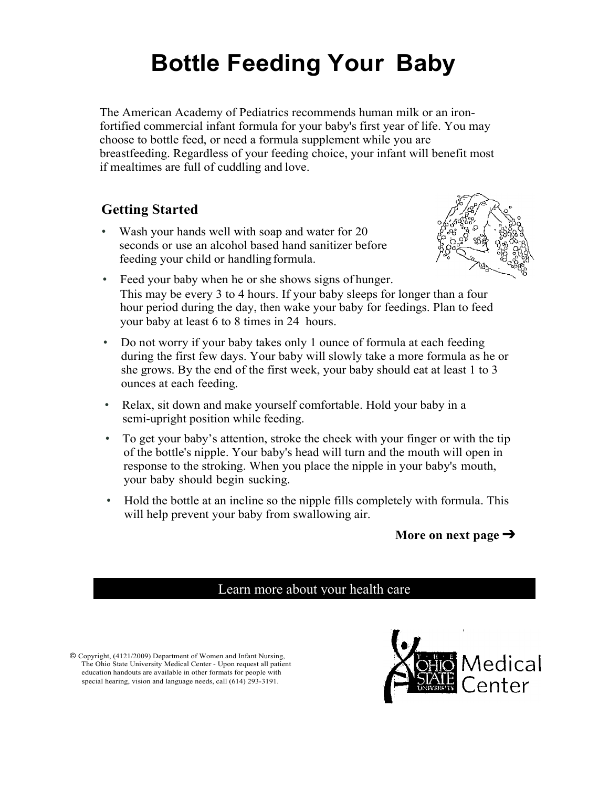# **Bottle Feeding Your Baby**

The American Academy of Pediatrics recommends human milk or an ironfortified commercial infant formula for your baby's first year of life. You may choose to bottle feed, or need a formula supplement while you are breastfeeding. Regardless of your feeding choice, your infant will benefit most if mealtimes are full of cuddling and love.

### **Getting Started**

• Wash your hands well with soap and water for 20 seconds or use an alcohol based hand sanitizer before feeding your child or handling formula.



- Feed your baby when he or she shows signs of hunger. This may be every 3 to 4 hours. If your baby sleeps for longer than a four hour period during the day, then wake your baby for feedings. Plan to feed your baby at least 6 to 8 times in 24 hours.
- Do not worry if your baby takes only 1 ounce of formula at each feeding during the first few days. Your baby will slowly take a more formula as he or she grows. By the end of the first week, your baby should eat at least 1 to 3 ounces at each feeding.
- Relax, sit down and make yourself comfortable. Hold your baby in a semi-upright position while feeding.
- To get your baby's attention, stroke the cheek with your finger or with the tip of the bottle's nipple. Your baby's head will turn and the mouth will open in response to the stroking. When you place the nipple in your baby's mouth, your baby should begin sucking.
- Hold the bottle at an incline so the nipple fills completely with formula. This will help prevent your baby from swallowing air.

#### **More on next page** ➔

#### Learn more about your health care

© Copyright, (4121/2009) Department of Women and Infant Nursing, The Ohio State University Medical Center - Upon request all patient education handouts are available in other formats for people with special hearing, vision and language needs, call (614) 293-3191.

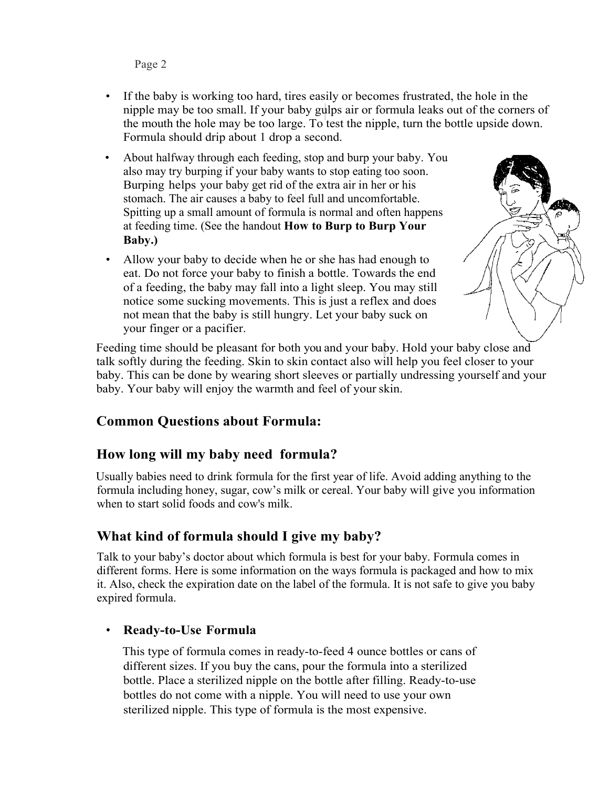Page 2

- If the baby is working too hard, tires easily or becomes frustrated, the hole in the nipple may be too small. If your baby gulps air or formula leaks out of the corners of the mouth the hole may be too large. To test the nipple, turn the bottle upside down. Formula should drip about 1 drop a second.
- About halfway through each feeding, stop and burp your baby. You also may try burping if your baby wants to stop eating too soon. Burping helps your baby get rid of the extra air in her or his stomach. The air causes a baby to feel full and uncomfortable. Spitting up a small amount of formula is normal and often happens at feeding time. (See the handout **How to Burp to Burp Your Baby.)**
- Allow your baby to decide when he or she has had enough to eat. Do not force your baby to finish a bottle. Towards the end of a feeding, the baby may fall into a light sleep. You may still notice some sucking movements. This is just a reflex and does not mean that the baby is still hungry. Let your baby suck on your finger or a pacifier.

Feeding time should be pleasant for both you and your baby. Hold your baby close and talk softly during the feeding. Skin to skin contact also will help you feel closer to your baby. This can be done by wearing short sleeves or partially undressing yourself and your baby. Your baby will enjoy the warmth and feel of yourskin.

#### **Common Questions about Formula:**

#### **How long will my baby need formula?**

Usually babies need to drink formula for the first year of life. Avoid adding anything to the formula including honey, sugar, cow's milk or cereal. Your baby will give you information when to start solid foods and cow's milk.

#### **What kind of formula should I give my baby?**

Talk to your baby's doctor about which formula is best for your baby. Formula comes in different forms. Here is some information on the ways formula is packaged and how to mix it. Also, check the expiration date on the label of the formula. It is not safe to give you baby expired formula.

#### • **Ready-to-Use Formula**

This type of formula comes in ready-to-feed 4 ounce bottles or cans of different sizes. If you buy the cans, pour the formula into a sterilized bottle. Place a sterilized nipple on the bottle after filling. Ready-to-use bottles do not come with a nipple. You will need to use your own sterilized nipple. This type of formula is the most expensive.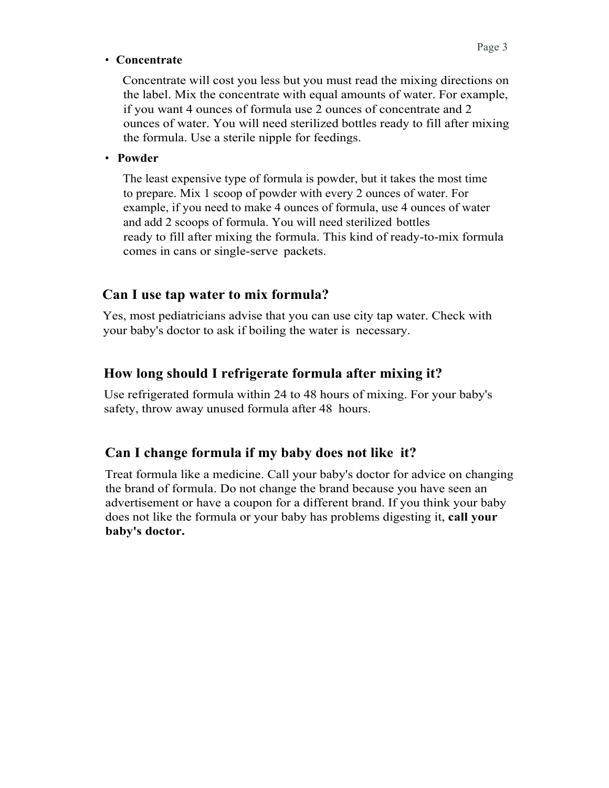#### • **Concentrate**

Concentrate will cost you less but you must read the mixing directions on the label. Mix the concentrate with equal amounts of water. For example, if you want 4 ounces of formula use 2 ounces of concentrate and 2 ounces of water. You will need sterilized bottles ready to fill after mixing the formula. Use a sterile nipple for feedings.

#### • **Powder**

The least expensive type of formula is powder, but it takes the most time to prepare. Mix 1 scoop of powder with every 2 ounces of water. For example, if you need to make 4 ounces of formula, use 4 ounces of water and add 2 scoops of formula. You will need sterilized bottles ready to fill after mixing the formula. This kind of ready-to-mix formula comes in cans or single-serve packets.

#### **Can I use tap water to mix formula?**

Yes, most pediatricians advise that you can use city tap water. Check with your baby's doctor to ask if boiling the water is necessary.

#### **How long should I refrigerate formula after mixing it?**

Use refrigerated formula within 24 to 48 hours of mixing. For your baby's safety, throw away unused formula after 48 hours.

#### **Can I change formula if my baby does not like it?**

Treat formula like a medicine. Call your baby's doctor for advice on changing the brand of formula. Do not change the brand because you have seen an advertisement or have a coupon for a different brand. If you think your baby does not like the formula or your baby has problems digesting it, **call your baby's doctor.**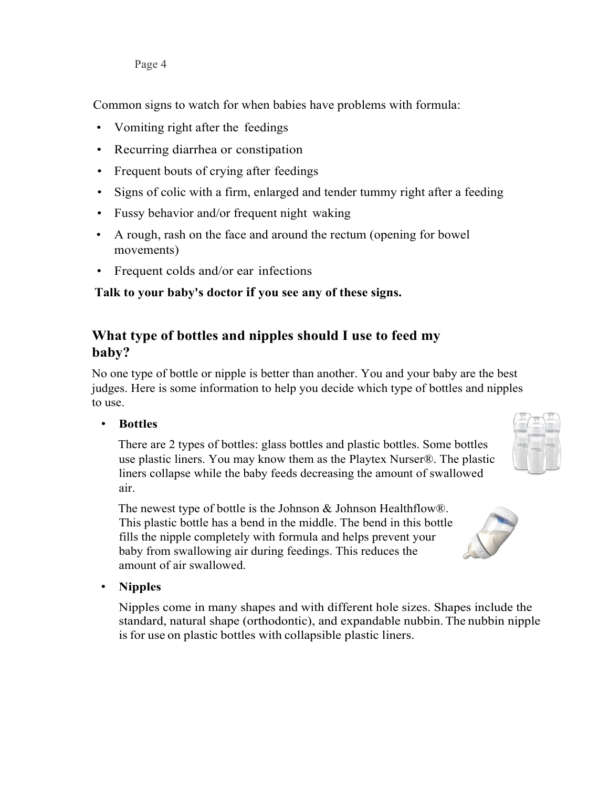Common signs to watch for when babies have problems with formula:

- Vomiting right after the feedings
- Recurring diarrhea or constipation
- Frequent bouts of crying after feedings
- Signs of colic with a firm, enlarged and tender tummy right after a feeding
- Fussy behavior and/or frequent night waking
- A rough, rash on the face and around the rectum (opening for bowel movements)
- Frequent colds and/or ear infections

#### **Talk to your baby's doctor if you see any of these signs.**

#### **What type of bottles and nipples should I use to feed my baby?**

No one type of bottle or nipple is better than another. You and your baby are the best judges. Here is some information to help you decide which type of bottles and nipples to use.

• **Bottles**

There are 2 types of bottles: glass bottles and plastic bottles. Some bottles use plastic liners. You may know them as the Playtex Nurser®. The plastic liners collapse while the baby feeds decreasing the amount of swallowed air.

The newest type of bottle is the Johnson & Johnson Healthflow®. This plastic bottle has a bend in the middle. The bend in this bottle fills the nipple completely with formula and helps prevent your baby from swallowing air during feedings. This reduces the amount of air swallowed.

• **Nipples**

Nipples come in many shapes and with different hole sizes. Shapes include the standard, natural shape (orthodontic), and expandable nubbin.The nubbin nipple is for use on plastic bottles with collapsible plastic liners.



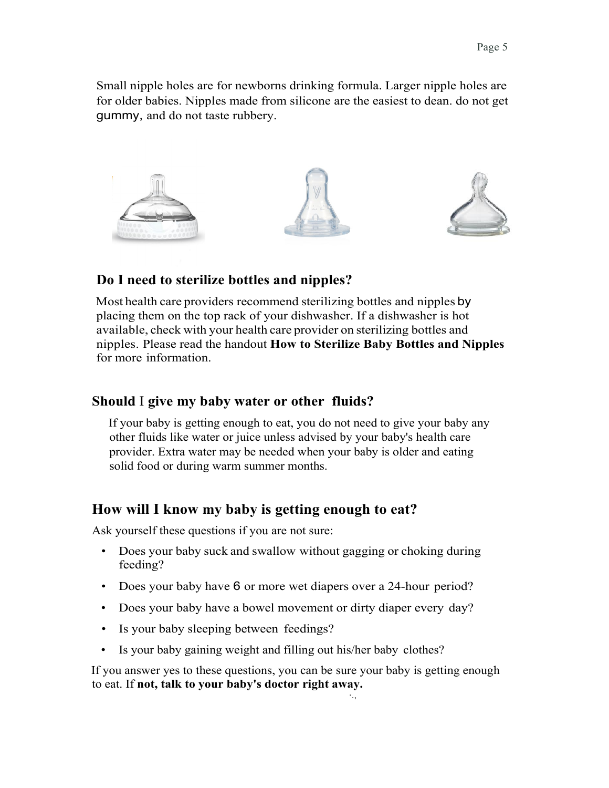Small nipple holes are for newborns drinking formula. Larger nipple holes are for older babies. Nipples made from silicone are the easiest to dean. do not get gummy, and do not taste rubbery.



#### **Do I need to sterilize bottles and nipples?**

Most health care providers recommend sterilizing bottles and nipples by placing them on the top rack of your dishwasher. If a dishwasher is hot available, check with your health care provider on sterilizing bottles and nipples. Please read the handout **How to Sterilize Baby Bottles and Nipples**  for more information.

#### **Should** I **give my baby water or other fluids?**

If your baby is getting enough to eat, you do not need to give your baby any other fluids like water or juice unless advised by your baby's health care provider. Extra water may be needed when your baby is older and eating solid food or during warm summer months.

#### **How will I know my baby is getting enough to eat?**

Ask yourself these questions if you are not sure:

- Does your baby suck and swallow without gagging or choking during feeding?
- Does your baby have 6 or more wet diapers over a 24-hour period?
- Does your baby have a bowel movement or dirty diaper every day?
- Is your baby sleeping between feedings?
- Is your baby gaining weight and filling out his/her baby clothes?

If you answer yes to these questions, you can be sure your baby is getting enough to eat. If **not, talk to your baby's doctor right away.** ·.,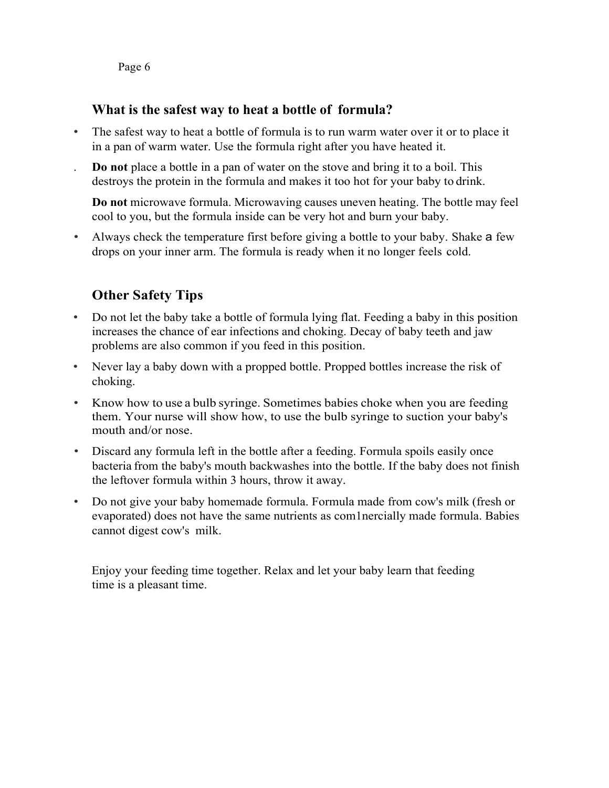Page 6

#### **What is the safest way to heat a bottle of formula?**

- The safest way to heat a bottle of formula is to run warm water over it or to place it in a pan of warm water. Use the formula right after you have heated it.
- . **Do not** place a bottle in a pan of water on the stove and bring it to a boil. This destroys the protein in the formula and makes it too hot for your baby to drink.

**Do not** microwave formula. Microwaving causes uneven heating. The bottle may feel cool to you, but the formula inside can be very hot and burn your baby.

• Always check the temperature first before giving a bottle to your baby. Shake a few drops on your inner arm. The formula is ready when it no longer feels cold.

#### **Other Safety Tips**

- Do not let the baby take a bottle of formula lying flat. Feeding a baby in this position increases the chance of ear infections and choking. Decay of baby teeth and jaw problems are also common if you feed in this position.
- Never lay a baby down with a propped bottle. Propped bottles increase the risk of choking.
- Know how to use a bulb syringe. Sometimes babies choke when you are feeding them. Your nurse will show how, to use the bulb syringe to suction your baby's mouth and/or nose.
- Discard any formula left in the bottle after a feeding. Formula spoils easily once bacteria from the baby's mouth backwashes into the bottle. If the baby does not finish the leftover formula within 3 hours, throw it away.
- Do not give your baby homemade formula. Formula made from cow's milk (fresh or evaporated) does not have the same nutrients as com1nercially made formula. Babies cannot digest cow's milk.

Enjoy your feeding time together. Relax and let your baby learn that feeding time is a pleasant time.